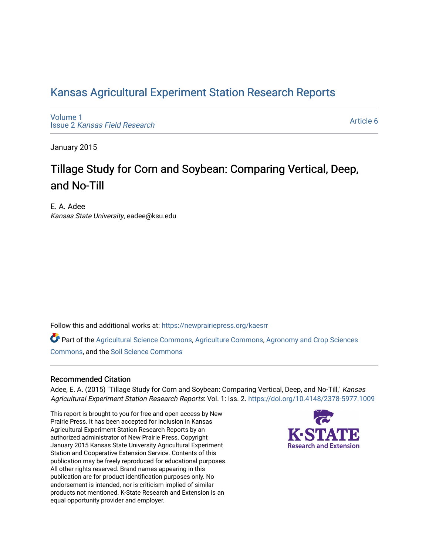### [Kansas Agricultural Experiment Station Research Reports](https://newprairiepress.org/kaesrr)

[Volume 1](https://newprairiepress.org/kaesrr/vol1) Issue 2 [Kansas Field Research](https://newprairiepress.org/kaesrr/vol1/iss2) 

[Article 6](https://newprairiepress.org/kaesrr/vol1/iss2/6) 

January 2015

## Tillage Study for Corn and Soybean: Comparing Vertical, Deep, and No-Till

E. A. Adee Kansas State University, eadee@ksu.edu

Follow this and additional works at: [https://newprairiepress.org/kaesrr](https://newprairiepress.org/kaesrr?utm_source=newprairiepress.org%2Fkaesrr%2Fvol1%2Fiss2%2F6&utm_medium=PDF&utm_campaign=PDFCoverPages) 

Part of the [Agricultural Science Commons](http://network.bepress.com/hgg/discipline/1063?utm_source=newprairiepress.org%2Fkaesrr%2Fvol1%2Fiss2%2F6&utm_medium=PDF&utm_campaign=PDFCoverPages), [Agriculture Commons,](http://network.bepress.com/hgg/discipline/1076?utm_source=newprairiepress.org%2Fkaesrr%2Fvol1%2Fiss2%2F6&utm_medium=PDF&utm_campaign=PDFCoverPages) [Agronomy and Crop Sciences](http://network.bepress.com/hgg/discipline/103?utm_source=newprairiepress.org%2Fkaesrr%2Fvol1%2Fiss2%2F6&utm_medium=PDF&utm_campaign=PDFCoverPages) [Commons](http://network.bepress.com/hgg/discipline/103?utm_source=newprairiepress.org%2Fkaesrr%2Fvol1%2Fiss2%2F6&utm_medium=PDF&utm_campaign=PDFCoverPages), and the [Soil Science Commons](http://network.bepress.com/hgg/discipline/163?utm_source=newprairiepress.org%2Fkaesrr%2Fvol1%2Fiss2%2F6&utm_medium=PDF&utm_campaign=PDFCoverPages) 

### Recommended Citation

Adee, E. A. (2015) "Tillage Study for Corn and Soybean: Comparing Vertical, Deep, and No-Till," Kansas Agricultural Experiment Station Research Reports: Vol. 1: Iss. 2.<https://doi.org/10.4148/2378-5977.1009>

This report is brought to you for free and open access by New Prairie Press. It has been accepted for inclusion in Kansas Agricultural Experiment Station Research Reports by an authorized administrator of New Prairie Press. Copyright January 2015 Kansas State University Agricultural Experiment Station and Cooperative Extension Service. Contents of this publication may be freely reproduced for educational purposes. All other rights reserved. Brand names appearing in this publication are for product identification purposes only. No endorsement is intended, nor is criticism implied of similar products not mentioned. K-State Research and Extension is an equal opportunity provider and employer.

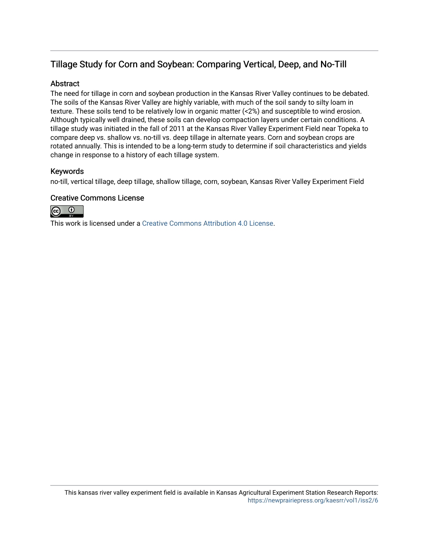### Tillage Study for Corn and Soybean: Comparing Vertical, Deep, and No-Till

### **Abstract**

The need for tillage in corn and soybean production in the Kansas River Valley continues to be debated. The soils of the Kansas River Valley are highly variable, with much of the soil sandy to silty loam in texture. These soils tend to be relatively low in organic matter (<2%) and susceptible to wind erosion. Although typically well drained, these soils can develop compaction layers under certain conditions. A tillage study was initiated in the fall of 2011 at the Kansas River Valley Experiment Field near Topeka to compare deep vs. shallow vs. no-till vs. deep tillage in alternate years. Corn and soybean crops are rotated annually. This is intended to be a long-term study to determine if soil characteristics and yields change in response to a history of each tillage system.

### Keywords

no-till, vertical tillage, deep tillage, shallow tillage, corn, soybean, Kansas River Valley Experiment Field

### Creative Commons License



This work is licensed under a [Creative Commons Attribution 4.0 License](https://creativecommons.org/licenses/by/4.0/).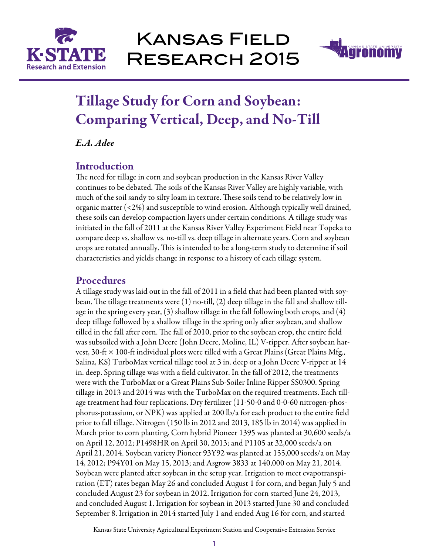



# Tillage Study for Corn and Soybean: Comparing Vertical, Deep, and No-Till

*E.A. Adee*

### **Introduction**

The need for tillage in corn and soybean production in the Kansas River Valley continues to be debated. The soils of the Kansas River Valley are highly variable, with much of the soil sandy to silty loam in texture. These soils tend to be relatively low in organic matter (<2%) and susceptible to wind erosion. Although typically well drained, these soils can develop compaction layers under certain conditions. A tillage study was initiated in the fall of 2011 at the Kansas River Valley Experiment Field near Topeka to compare deep vs. shallow vs. no-till vs. deep tillage in alternate years. Corn and soybean crops are rotated annually. This is intended to be a long-term study to determine if soil characteristics and yields change in response to a history of each tillage system.

### Procedures

A tillage study was laid out in the fall of 2011 in a field that had been planted with soybean. The tillage treatments were (1) no-till, (2) deep tillage in the fall and shallow tillage in the spring every year,  $(3)$  shallow tillage in the fall following both crops, and  $(4)$ deep tillage followed by a shallow tillage in the spring only after soybean, and shallow tilled in the fall after corn. The fall of 2010, prior to the soybean crop, the entire field was subsoiled with a John Deere (John Deere, Moline, IL) V-ripper. After soybean harvest, 30-ft  $\times$  100-ft individual plots were tilled with a Great Plains (Great Plains Mfg., Salina, KS) TurboMax vertical tillage tool at 3 in. deep or a John Deere V-ripper at 14 in. deep. Spring tillage was with a field cultivator. In the fall of 2012, the treatments were with the TurboMax or a Great Plains Sub-Soiler Inline Ripper SS0300. Spring tillage in 2013 and 2014 was with the TurboMax on the required treatments. Each tillage treatment had four replications. Dry fertilizer (11-50-0 and 0-0-60 nitrogen-phosphorus-potassium, or NPK) was applied at 200 lb/a for each product to the entire field prior to fall tillage. Nitrogen (150 lb in 2012 and 2013, 185 lb in 2014) was applied in March prior to corn planting. Corn hybrid Pioneer 1395 was planted at 30,600 seeds/a on April 12, 2012; P1498HR on April 30, 2013; and P1105 at 32,000 seeds/a on April 21, 2014. Soybean variety Pioneer 93Y92 was planted at 155,000 seeds/a on May 14, 2012; P94Y01 on May 15, 2013; and Asgrow 3833 at 140,000 on May 21, 2014. Soybean were planted after soybean in the setup year. Irrigation to meet evapotranspiration (ET) rates began May 26 and concluded August 1 for corn, and began July 5 and concluded August 23 for soybean in 2012. Irrigation for corn started June 24, 2013, and concluded August 1. Irrigation for soybean in 2013 started June 30 and concluded September 8. Irrigation in 2014 started July 1 and ended Aug 16 for corn, and started

Kansas State University Agricultural Experiment Station and Cooperative Extension Service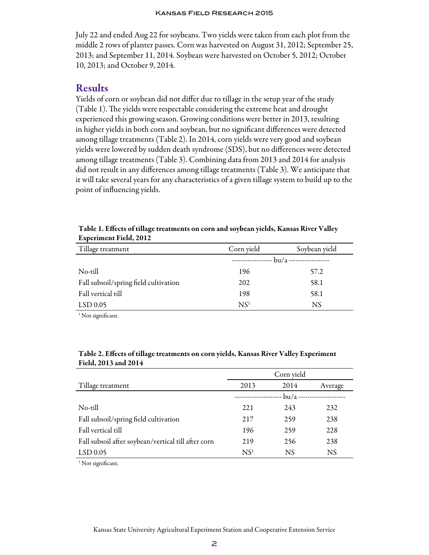#### Kansas Field Research 2015

July 22 and ended Aug 22 for soybeans. Two yields were taken from each plot from the middle 2 rows of planter passes. Corn was harvested on August 31, 2012; September 25, 2013; and September 11, 2014. Soybean were harvested on October 5, 2012; October 10, 2013; and October 9, 2014.

### Results

Yields of corn or soybean did not differ due to tillage in the setup year of the study (Table 1). The yields were respectable considering the extreme heat and drought experienced this growing season. Growing conditions were better in 2013, resulting in higher yields in both corn and soybean, but no significant differences were detected among tillage treatments (Table 2). In 2014, corn yields were very good and soybean yields were lowered by sudden death syndrome (SDS), but no differences were detected among tillage treatments (Table 3). Combining data from 2013 and 2014 for analysis did not result in any differences among tillage treatments (Table 3). We anticipate that it will take several years for any characteristics of a given tillage system to build up to the point of influencing yields.

| Tillage treatment                     | Corn yield      | Soybean yield |
|---------------------------------------|-----------------|---------------|
|                                       | $\frac{1}{2}$   |               |
| No-till                               | 196             | 57.2          |
| Fall subsoil/spring field cultivation | 202             | 58.1          |
| Fall vertical till                    | 198             | 58.1          |
| $LSD$ 0.05                            | NS <sup>1</sup> | NS            |

Table 1. Effects of tillage treatments on corn and soybean yields, Kansas River Valley Experiment Field, 2012

<sup>1</sup> Not significant.

|                                                     | Corn yield      |      |                               |
|-----------------------------------------------------|-----------------|------|-------------------------------|
| Tillage treatment                                   | 2013            | 2014 | Average                       |
|                                                     |                 |      | -- bu/a --------------------- |
| No-till                                             | 221             | 243  | 232                           |
| Fall subsoil/spring field cultivation               | 217             | 259  | 238                           |
| Fall vertical till                                  | 196             | 259  | 228                           |
| Fall subsoil after soybean/vertical till after corn | 219             | 256  | 238                           |
| LSD 0.05                                            | NS <sup>1</sup> | NS   | <b>NS</b>                     |

### Table 2. Effects of tillage treatments on corn yields, Kansas River Valley Experiment Field, 2013 and 2014

<sup>1</sup> Not significant.